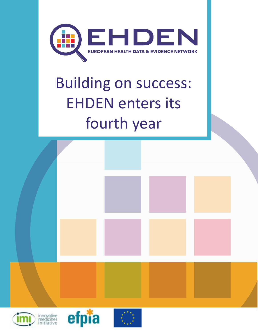

# Building on success: EHDEN enters its fourth year





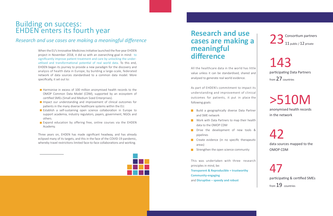When the EU's Innovative Medicines Initiative launched the five-year EHDEN project in November 2018, it did so with an overarching goal in mind: to significantly improve patient treatment and care by unlocking the underutilised and transformational potential of real world data. To this end, EHDEN began its journey to provide a new paradigm for the discovery and analysis of health data in Europe, by building a large-scale, federated network of data sources standardised to a common data model. More specifically, it set out to:

## Building on success: EHDEN enters its fourth year

- Harmonise in excess of 100 million anonymised health records to the OMOP Common Data Model (CDM), supported by an ecosystem of certified SMEs (Small and Medium Sized Enterprises).
- Impact our understanding and improvement of clinical outcomes for patients in the many diverse healthcare systems within the EU.
- **E** Establish a self-sustaining open science collaboration in Europe to support academia, industry regulators, payers, government, NGOs and others.
- Expand education by offering free, online courses via the EHDEN Academy.

## *Research and use cases are making a meaningful difference*

participating & certified SMEs 47

Three years on, EHDEN has made significant headway, and has already eclipsed many of its targets, and this in the face of the COVID-19 pandemic, whereby travel restrictions limited face-to-face collaborations and working.



## **Research and use cases are making a meaningful difference**

from 19 countries

anonymised health records in the network

# >510M

from 27 countries participating Data Partners



143

All the healthcare data in the world has little value unless it can be standardised, shared and analysed to generate real world evidence.

As part of EHDEN's commitment to impact its understanding and improvement of clinical outcomes for patients, it put in place the following goals:

- **Build a geographically diverse Data Partner** and SME network
- **Work with Data Partners to map their health** data to the OMOP CDM
- Drive the development of new tools & pipelines
- $\blacksquare$  Create evidence (in no specific therapeutic areas)
- Strengthen the open science community

42 data sources mapped to the OMOP CDM

This was undertaken with three research principles in mind, be:

**Transparent & Reproducible = trustworthy Community-engaging** and **Disruptive – speedy and robust**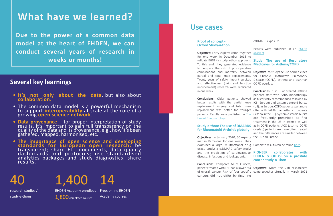## **Several key learnings**

EHDEN Academy enrollees Free, online EHDEN Academy courses

# **What have we learned?**



1,800 completed courses

research studies / study-a-thons

40

### **Proof of concept - Oxford Study-a-thon**

Objective: Forty experts came together [abstract](http://scientific.sparx-ip.net/archiveeular/?view=4&c=a&item=2020SAT0134). for one week in December 2018 to To this end, they generated evidence **Medicines for Asthma/COPD** to compare the risk of post-operative and effectiveness (pain and function COPD overlap. improvement) research were replicated in one week.

[Lancet Rheumatology](https://www.thelancet.com/journals/lanrhe/article/PIIS2665-9913(19)30075-X/fulltext#%20).

validate EHDEN's study-a-thon approach. **Study: The use of Respiratory** 

## **for Rheumatoid Arthritis globally**

complications and mortality between **Objective**: to study the use of medicines partial and total knee replacements. for Chronic Obstructive Pulmonary Twenty years of safety, implant survival, Disease (COPD), asthma and asthma/

**Objectives**: In January 2020, 50 experts the US and Europe. met in Barcelona for one week. They examined a large, multinational drug Complete results can be found [here](https://www.emjreviews.com/respiratory/abstract/real-world-treatment-patterns-of-newly-diagnosed-patients-with-asthma-and-or-chronic-obstructive-pulmonary-disease-j160121/). usage study; a csDMARD safety study; disease, infections and leukopaenia.

**Conclusions**: Compared to MTX users, cancers did not differ by first line

- **• It's not only about the data**, but also about **collaboration**.
- The common data model is a powerful mechanism to support **interoperability** at-scale at the core of a growing **open science network**.
- **Data provenance** for proper interpretation of study results, it's important to gain full transparency on the quality of the data and its provenance, e.g., how it's been gathered, mapped, harmonised, etc.
- **• The importance of open science and developing standards for European open research:** be transparent; share ETL documents, data quality dashboards and protocols; use standardised analytics packages and study diagnostics; share results.

### csDMARD exposure.

**Conclusions**: Older patients showed as historically recommended followed by better results with the partial knee ICS (Europe) and systemic steroid bursts replacement surgery and total knee (US). In Europe, COPD patients start more replacement was better for younger often with LAMA than asthma patients patients. Results were published in [The](https://www.thelancet.com/journals/lanrhe/article/PIIS2665-9913(19)30075-X/fulltext#%20) (less so in the US). Systemic steroid bursts **Study-a-thon: The use of DMARDS** as in COPD patients. ACO (asthma COPD **Conclusions**: 1 in 3 of treated asthma patients start with SABA monotherapy are frequently prescribed as first treatment in the US in asthma as well overlap) patients are more often treated and the differences are smaller between

Results were published in an [EULAR](http://scientific.sparx-ip.net/archiveeular/?view=4&c=a&item=2020SAT0134) 

### and the prediction of cardiovascular **PIONEER collaborates with EHDEN & OHDSI on a prostate cancer Study-A-Thon**

patients treated with LEF had a lower risk **Objective**: More the 240 researchers of overall cancer. Risk of four specific came together virtually in March 2021

## **Use cases**

**Due to the power of a common data model at the heart of EHDEN, we can conduct several years of research in weeks or months!**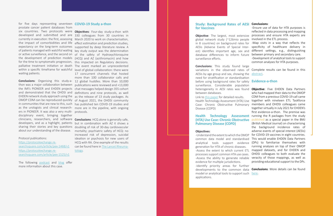### **Study: Background Rates of AESI Conclusions**: **for Vaccines**

**Objective**: The largest, most extensive global network study (~126mio people in 8 countries) on background rates for AESIs (Adverse Events of Special Inter est) identifies important age, sex and database differences to inform future surveillance efforts. involved in the ETL process. -Map visits in a way that reflects the specificity of healthcare delivery in different settings, e.g., distinguishing between primary and secondary care.<br>-Development of analytical tools to support

**Conclusions**: This study found large variations in the observed rates of AESIs by age group and sex, showing the [abstract](https://link.springer.com/article/10.1007/s40273-020-00981-9). need for stratification or standardisation before using background rates for safety **Evidence-a-thon**  surveillance. Considerable population between databases.

-Identify priority areas for further developments to the common data model or analytical tools to support such applications. **Conclusions**: More details can be found [here](https://www.ehden.eu/first-ehden-e-thon/).

-Ensure use of data for HTA purposes is reflected in data processing and mapping processes and ensure HTA experts are

heterogeneity in AESI rates was found **Objective**: Five EHDEN Data Partners Link to [this paper](https://www.bmj.com/content/373/bmj.n1435) for detailed results. Health Technology Assessment (HTA) Use Case: Chronic Obstructive Pulmonary Disease (COPD) **Health Technology Assessment (HTA) Use Case: Chronic Obstructive Pulmonary Disease (COPD) Objectives**: -Understand the extent to which the OMOP common data model and standardised analytical tools support evidence (DPs) to familiarise themselves with generation for HTA of chronic diseases. -Assess the extent to which current ETL processes support common HTA use cases. -Assess the ability to generate reliable veracity of those mappings, as well as evidence for multiple jurisdictions. who had mapped their data to the OMOP CDM from a previous COVID-19 call came together with nineteen ETL Taskforce members and OHDSI colleagues came together virtually in July 2021 for EHDEN's first evidence-a-thon. The premise was running the R packages from the study published as a special paper in the BMJ (British Medical Journal) on characterising the background incidence rates of adverse events of special interest (AESIs) for COVID-19 vaccines in eight countries. This would enable EHDEN Data Partners running analyses on top of their OMOP mapped datasets, and for EHDEN and OHDSI colleagues to both evaluate the providing educational support to the DPs.

common analyses for HTA purposes.

Complete results can be found in this

The following [podcast](https://anchor.fm/ehden/episodes/Improving-the-quality-of-cancer-care-for-this-and-future-generations-a-conversation-with-James-NDow-about-the-EHDEN--PIONEER--OHDSI-prostate-cancer-study-a-thon-e190lm9/a-a1ptlh) and [blog](https://www.ehden.eu/the-pioneer-study-a-thon/) offer more information about this case.

but in combination with AZ it shows a doubling of risk of 30-day cardiovascular mortality; psychiatric safety of HCQ: no increased risk of depression, suicidal ideation or psychosis for new users of HCQ with RA. One example of the results can be found here in [The Lancet Rheuma](https://www.thelancet.com/journals/lanrhe/article/PIIS2665-9913(20)30276-9/fulltext)[tology](https://www.thelancet.com/journals/lanrhe/article/PIIS2665-9913(20)30276-9/fulltext).

for five days representing seventeen **COVID-19 Study a-thon**  prostate cancer patient databases from six countries. Two protocols were **Objectives**: Four-day study-a-thon with developed and submitted and are 330 colleagues from 30 countries in currently in execution: the first, assessing March 2020 to work on characterisation, the impact of comorbidities and life effect estimation and prediction studies, expectancy on the long-term outcomes supported by deep literature review. A of patients managed with watchful waiting key study output was the determination or active surveillance, and the second on of the safety of Hydroxychloroquine the development of prediction models (HCQ) and AZ (azithromycin) and how for the time to symptomatic progression, this impacted on Regulatory decisions. palliative treatment initiation or death The event marked an unprecedented within a specific timeframe for watchful waiting patients.

thon was a major collaboration between the IMI's PIONEER and EHDEN projects chat messages helped design 355 cohort and demonstrated that the OHDSI and EHDEN network study approach using the as the release of 13 study packages. As OMOP CDM can be reproduced quickly in communities that are new to this, such has published ten COVID-19 studies and as the urologists and clinical research - more are in the pipeline, with ongoing ers in PIONEER. It was also a very multidisciplinary event, bringing together clinicians, researchers, and software **Conclusions**: HCQ alone is generally safe, developers, and as a highlight, patients sharing their stories and key questions about our understanding of the disease.

Protocol publications:

[https://protocolexchange.re](https://protocolexchange.researchsquare.com/article/pex-1468/v1) [searchsquare.com/article/pex-1468/v1](https://protocolexchange.researchsquare.com/article/pex-1468/v1) [https://protocolexchange.re](https://protocolexchange.researchsquare.com/article/pex-1525/v1) [searchsquare.com/article/pex-1525/v1](https://protocolexchange.researchsquare.com/article/pex-1525/v1)

**Conclusions**: Organising this study-a-12 global huddles. More than 10,000 level of global collaboration: there were 17 concurrent channels that hosted more than 100 collaborator calls and publications were reviewed and +13,000 definitions and nine protocols, as well of August 2021, the OHDSI community protocols.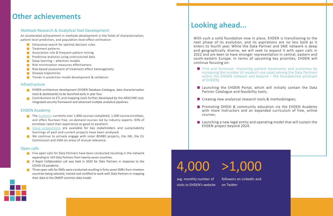- **EHDEN** architecture development (EHDEN Database Catalogue, data characterisation tools & dashboards) to be launched early in year four.
- Contributions to ETL and mapping tools further developed by the ARACHNE tool, integrated security framework and advanced multiple analytical pipelines.

- The [Academy](https://academy.ehden.eu/): currently over  $1,800$  courses completed,  $1,400$  course enrollees, and offers fourteen free, on-demand courses led by industry experts. 93% of enrollees rated their experience as good to excellent.
- **T** [Value propositions](https://zenodo.org/record/5037869#.YZ-UJtDMLIU) are available for key stakeholders and sustainability learnings of past and current projects have been analysed.
- We continue to actively engage with sister BD4BO projects, the IMI, the EU Commission and EMA on areas of mutual relevance.

- **Five open calls for Data Partners have been conducted resulting in the network** expanding to 143 Data Partners from twenty-seven countries.
- A Rapid Collaboration call was held in 2020 for Data Partners in response to the COVID-19 pandemic.
- Three open calls for SMEs were conducted resulting in forty-seven SMEs from nineteen countries being selected, trained and certified to work with Data Partners in mapping their data to the OMOP common data model.

## EHDEN Academy

### Open calls

An accelerated achievement in methods development in the fields of characterisation, patient level prediction, and population-level effect estimation: With such a solid foundation now in place, EHDEN is transitioning to the

- **EXHAUSTIVE SEARCH FOR OPTIMAL DECISION RULES**
- $\blacksquare$  Treatment patterns
- **Association rule & frequent pattern mining**
- **Predictive analytics using unstructured data**
- $\Box$  Deep learning attention models
- **Risk minimisation measures effectiveness**
- **Risk-based assessment of treatment effect heterogeneity**
- **Disease trajectories**
- **T** Trends in prediction model development & validation

### **Infrastructure**

**First and foremost: improving patient treatments and outcomes by** increasing the number of research use cases among the Data Partners within the EHDEN network and beyond – the foundational principle

Launching the EHDEN Portal, which will initially contain the Data

Creating new analytical research tools & methodologies;

### Methods Research & Analytical Tool Development:

**Promoting OHDSI & community education via the EHDEN Academy** with more instructors and an expanded curriculum of free, online

 $\blacksquare$  Launching a new legal entity and operating model that will sustain the

next phase of its evolution, and its aspirations are no less bold as it enters its fourth year. While the Data Partner and SME network is deep and geographically diverse, we will seek to expand it with open calls in 2022 and are keen to have stronger representation in central, eastern and south-eastern Europe. In terms of upcoming key priorities, EHDEN will continue focusing on:

- of EHDEN;
- Partner Catalogue and feasibility tools;
- 
- courses;
- EHDEN project beyond 2024.

## **Other achievements**

## **Looking ahead...**

followers on LinkedIn and on Twitter

# >1,000

avg. monthly number of visits to EHDEN's website

4,000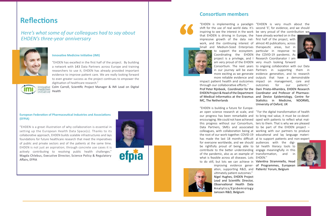through our collaborative efforts." MC, The Netherlands

that EHDEN is driving in Europe, the have already worked on in the impressive growth of the data net-first half of the project, with work, and the continuing interest of almost 40 publications, across



Small and Medium-Sized Enterprises therapeutic areas, but in to support the ecosystem. particular in response to Coordinating the EHDEN the COVID-19 pandemic. As project is a privilege, and I Research Coordianator I am am very proud of the EHDEN very much looking forward



"EHDEN is building a future for Europefor everyone worldwide, and we should audiences with the digibe rightfully proud of being able to tal health literacy tools to contribute to the better understanding engage meaningfully in this of the pandemic, also as an example of transformation, and in what is feasible across all diseases. Lots EHDEN.'' to do still, but lots we can achieve in Valentina Strammiello, Head ation, supporting R&D, and Patients' Forum, Belgium ultimately patient outcomes." Nigel Hughes, EHDEN Project Lead and Scientific Director, Observational Health Data Analytics/Epidemiology



Consortium. The next years to ongoing collaboration with our Data in our journey will be even Partners in supporting them in more exciting as we generate evidence generation, and to research more reliable evidence and outputs that have a demonstrable impact patient health and outcomes impact on management, care and Prof Peter Rijnbeek, Coordinator for the Dani Prieto-Alhambra, EHDEN Research EHDEN Project & Head of the Department Coordinator and Professor of Pharmacoof Medical Informatics at the Erasmus and Device Epidemiology, Centre for outcomes for our patients." Statistics in Medicine, NDORMS, University of Oxford, UK

an open science research at scale, and "For the digital transformation of health our progress has been remarkable and to bring real value, it must be co-develencouraging. We could not have achieved oped with patients to reflect what matthis progress without our Consortium, ters to them. That is why we are pleased Data Partners, SMEs and associated to be part of the EHDEN project – colleagues, with collaboration being at working with our partners to produce the root of our work together. COVID-19 educational and lay language materihas made the last 18 months difficult al to support patients and non-expert

improving evidence gener- of Programmes, European



Janssen R&D, Belgium

"EHDEN is implementing a paradigm "EHDEN is very much about the shift for the use of real world data. It's second 'E', for evidence, and we should inspiring to see the interest in the work be very proud of the contribution we

"

"EHDEN has excelled in the first half of the project. By building a network with 143 Data Partners across Europe and training researchers to use it, EHDEN has already provided important evidence to improve patient care. We are really looking forward to even greater success as the project continues to empower the digitisation of healthcare research."



innoyative Colm Carroll, Scientific Project Manager & IMI Lead on Digital

## **Reflections**

## *Here's what some of our colleagues had to say about EHDEN's three-year anniversary*



### **Innovative Medicine Initiative (IMI)**

"EHDEN is a great illustration of why collaboration is essential in setting up the European Health Data Space(s). Thanks to its collaborative approach, EHDEN builds scalable infrastructures and lays foundations for future healthcare research that meet the imperatives of public and private sectors and of the patients at the same time. EHDEN is not just an aspiration; through concrete use cases it is actively contributing to resolving public health challenges." Magda Chlebus, Executive Director, Science Policy & Regulatory Affairs, EFPIA



### **European Federation of Pharmaceutical Industries and Associations (EFPIA)**

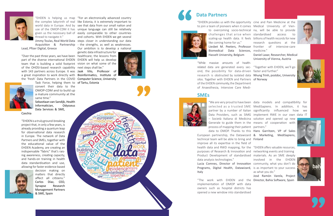"Over the past three years, we have been healthcare; the lessons from part of the diverse international EHDEN EHDEN will help us develop team that is building a solid footprint vision on what some of the of the OHDSI-based research capability next steps shall be." with 143 partners across Europe. It was Jaak Vilo, Professor of a great inspiration to work directly with Bioinformatics, Institute of





thread to navigate it."

Lead, Pfizer Digital, Greece

Task Force, helping them to of Tartu, Estonia convert their data to the OMOP-CDM and to build up a mature community at the same time." Sebastiaan van Sandijk, Health Informatician, Odysseus Data Services & SME,

Czechia

"EHDEN is helping us map "For an electronically advanced country the complex labyrinth of real like Estonia, it is extremely important to world data in Europe. And by see that data from our small nation and use of the OMOP-CDM it has unique language can still be relatively given us the necessary ball of easily comparable to other countries Jimmy Toulas, Real World Data steps closer in understanding our data Acquisition & Partnership - the strengths, as well as weaknesses. and cohorts. With EHDEN we get several

"EHDEN is a truly ground-breaking project that, in only a few years, is already providing a quantum leap for observational data research in Europe. The network of Data Partners and SMEs, together with the educational value of the EHDEN Academy, are creating an indispensable "fabric" that's raising awareness, creating capacity, and hands-on training in health data standardisation and use, allowing for faster evidence-based

the 'fresh' Data Partners in the COVID Computer Science, University



"While massive amounts of he related data are generated every ond, the possibility for data-driven research is obstructed by isolated silos. Together with EHDEN and Part of the EHDEN community, the Departn of Anaesthesia, Intensive Care Medi-

decision making on matters that directly affect all citizens." Carlos Díaz, CEO, Synapse Research Management Partners & SME, Spain

"We are very proud to have been data models and compatibility for selected as a trusted SME MediSapiens. In addition, it has partner by a number of Italian significantly influenced how we Data Providers, such as SIMG implement RWE in our own data IT

Our ambition is to develop a national genetic data infrastructure for

European partnership, the Datawizard & Marketing, MediSapiens, technical team will be able to bring and Finland improve all its expertise in the field of health data and RWD mapping, for the "EHDEN offers valuable resources, purposes of Research & Innovation and networking events and training Product Development of standardised materials. As an SME deeply data analysis technologies." Lucia Comnes, Director of Innovation community, what you don't do Programs, Digital Health, Datawizard, is as important to your success Italy

"The work with EHDEN and the Director, Bahia Software, Spain implementation of OMOP with data owners such as hospital districts has opened a new window into standardised

evidence standardised we together

building







| provides us with the opportunity cine and Pain Medicine at the      |                                   |
|---------------------------------------------------------------------|-----------------------------------|
| team of pioneers when it comes Medical University of Vien-          |                                   |
| to overcoming socio-technical na, will be able to provide           |                                   |
| challenges that arise when standardised access                      | to                                |
| scaling-up health data. It feels billions of health records for new |                                   |
| like coming home for us."                                           | research questions at the         |
| Liesbet M. Peeters, Professor frontier of intensive-care            |                                   |
| Biomedical Data Sciences, medicine."                                |                                   |
| Hasselt University, Belgium                                         | Daniel Laxar, Researcher, Medical |
|                                                                     | University of Vienna, Austria     |
| massive amounts of health-                                          |                                   |
| data are generated every sec- "Together with EHDEN, we'll go        |                                   |
| e possibility for data-driven faster and further."                  |                                   |
| h is obstructed by isolated data Nhung Trinh, postdoc, University   |                                   |
| gether with EHDEN and Partners of Norway                            |                                   |
| HDEN community, the Department                                      |                                   |
| ethosia Intonsivo Caro Modi                                         |                                   |



– Società Italiana di Medicina solution and opened up new Generale to guide them in the means of cooperation with

process of mapping their patient partners."

data to OMOP. Thanks to this Hans Garritzen, VP of Sales

involved in the EHDEN as what you do."

José Ramón Varela, Project





## **Data Partners**

"EHDEN provides us with the opportu to join a team of pioneers when it com



## **SMEs**